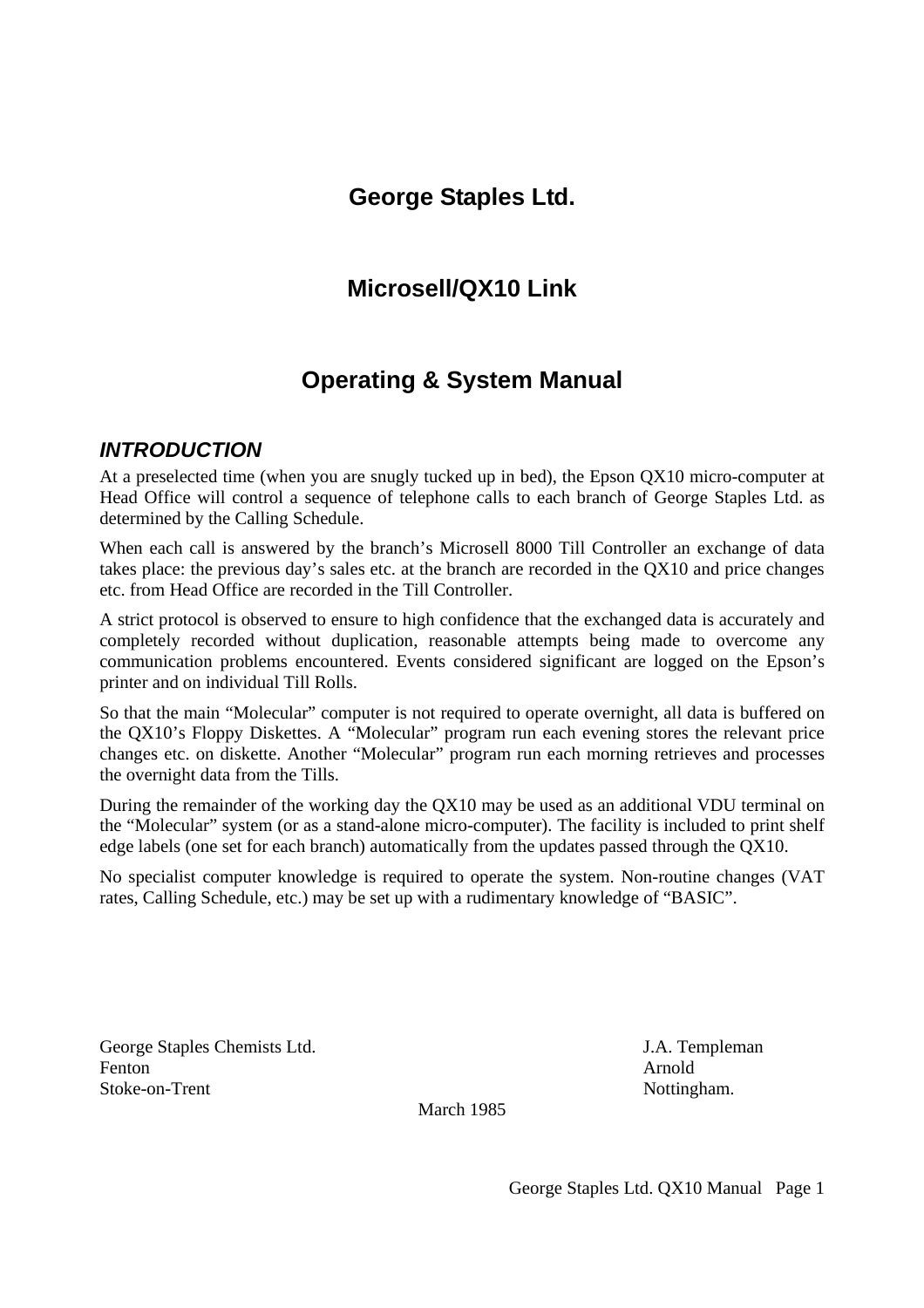## **George Staples Ltd.**

# **Microsell/QX10 Link**

# **Operating & System Manual**

### *INTRODUCTION*

At a preselected time (when you are snugly tucked up in bed), the Epson QX10 micro-computer at Head Office will control a sequence of telephone calls to each branch of George Staples Ltd. as determined by the Calling Schedule.

When each call is answered by the branch's Microsell 8000 Till Controller an exchange of data takes place: the previous day's sales etc. at the branch are recorded in the QX10 and price changes etc. from Head Office are recorded in the Till Controller.

A strict protocol is observed to ensure to high confidence that the exchanged data is accurately and completely recorded without duplication, reasonable attempts being made to overcome any communication problems encountered. Events considered significant are logged on the Epson's printer and on individual Till Rolls.

So that the main "Molecular" computer is not required to operate overnight, all data is buffered on the QX10's Floppy Diskettes. A "Molecular" program run each evening stores the relevant price changes etc. on diskette. Another "Molecular" program run each morning retrieves and processes the overnight data from the Tills.

During the remainder of the working day the QX10 may be used as an additional VDU terminal on the "Molecular" system (or as a stand-alone micro-computer). The facility is included to print shelf edge labels (one set for each branch) automatically from the updates passed through the QX10.

No specialist computer knowledge is required to operate the system. Non-routine changes (VAT rates, Calling Schedule, etc.) may be set up with a rudimentary knowledge of "BASIC".

George Staples Chemists Ltd. J.A. Templeman Fenton Arnold Stoke-on-Trent Nottingham.

March 1985

George Staples Ltd. QX10 Manual Page 1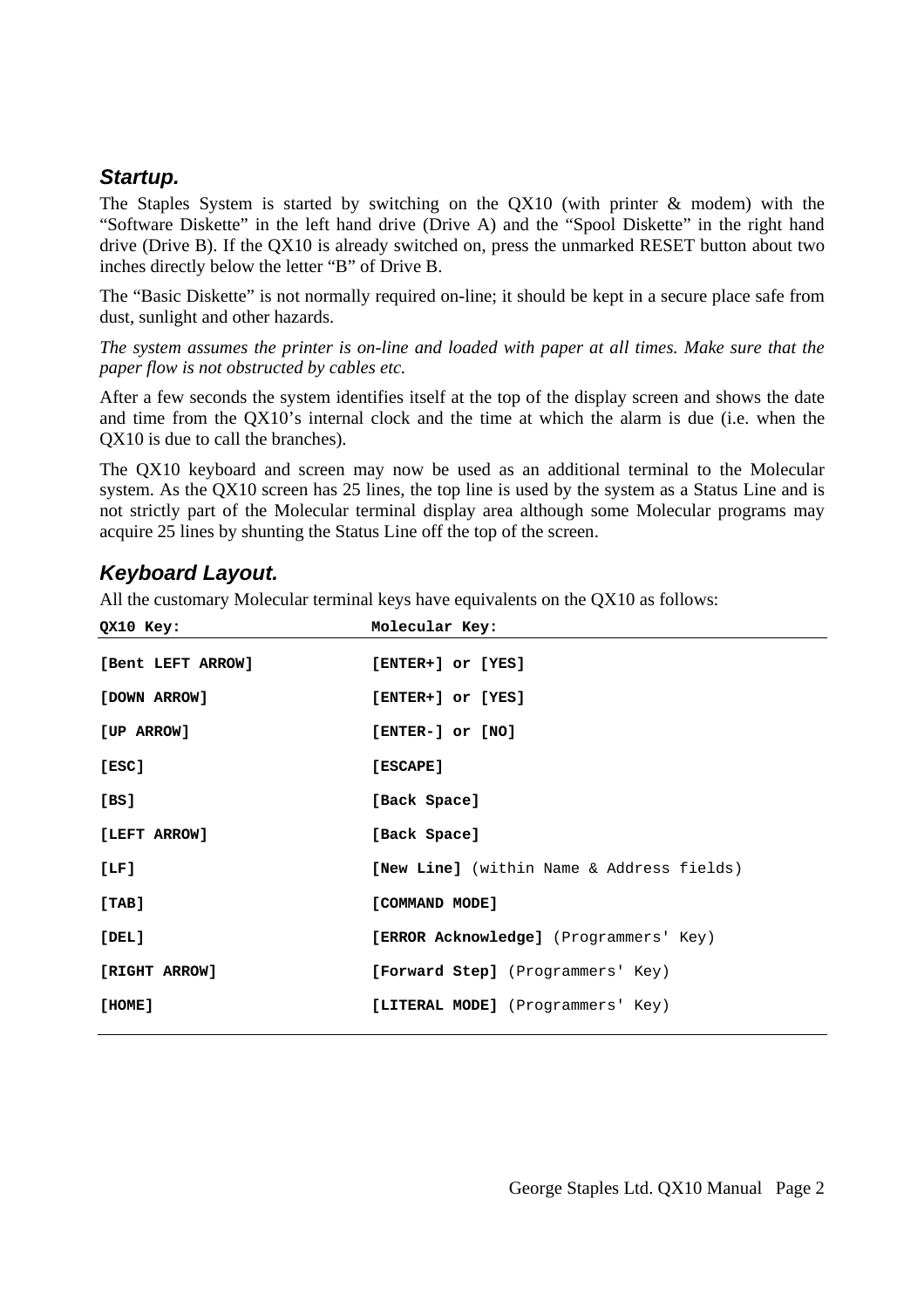#### *Startup.*

The Staples System is started by switching on the QX10 (with printer & modem) with the "Software Diskette" in the left hand drive (Drive A) and the "Spool Diskette" in the right hand drive (Drive B). If the QX10 is already switched on, press the unmarked RESET button about two inches directly below the letter "B" of Drive B.

The "Basic Diskette" is not normally required on-line; it should be kept in a secure place safe from dust, sunlight and other hazards.

*The system assumes the printer is on-line and loaded with paper at all times. Make sure that the paper flow is not obstructed by cables etc.* 

After a few seconds the system identifies itself at the top of the display screen and shows the date and time from the QX10's internal clock and the time at which the alarm is due (i.e. when the QX10 is due to call the branches).

The QX10 keyboard and screen may now be used as an additional terminal to the Molecular system. As the QX10 screen has 25 lines, the top line is used by the system as a Status Line and is not strictly part of the Molecular terminal display area although some Molecular programs may acquire 25 lines by shunting the Status Line off the top of the screen.

#### *Keyboard Layout.*

All the customary Molecular terminal keys have equivalents on the QX10 as follows:

| QX10 Key:         | Molecular Key:                                   |
|-------------------|--------------------------------------------------|
| [Bent LEFT ARROW] | [ENTER+] or [YES]                                |
| [DOWN ARROW]      | [ENTER+] or [YES]                                |
| [UP ARROW]        | [ENTER-] or [NO]                                 |
| [ESC]             | [ESCAPE]                                         |
| [BS]              | [Back Space]                                     |
| [LEFT ARROW]      | [Back Space]                                     |
| [LF]              | <b>[New Line]</b> (within Name & Address fields) |
| [TABLE]           | [COMMAND MODE]                                   |
| [DEL]             | [ERROR Acknowledge] (Programmers' Key)           |
| [RIGHT ARROW]     | <b>[Forward Step]</b> (Programmers' Key)         |
| [HOME]            | [LITERAL MODE] (Programmers' Key)                |
|                   |                                                  |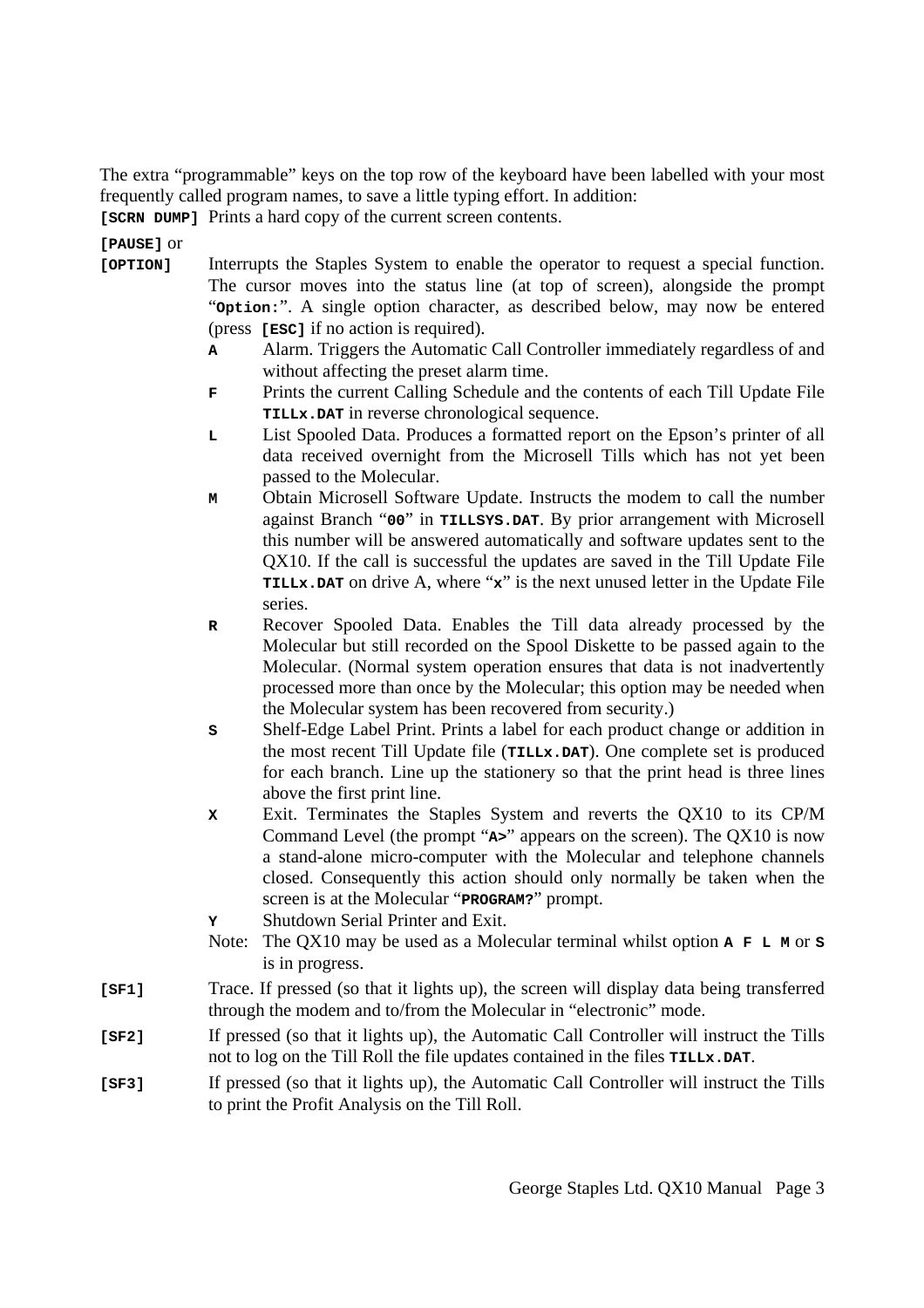The extra "programmable" keys on the top row of the keyboard have been labelled with your most frequently called program names, to save a little typing effort. In addition:

**[SCRN DUMP]** Prints a hard copy of the current screen contents.

**[PAUSE]** or

- **[OPTION]** Interrupts the Staples System to enable the operator to request a special function. The cursor moves into the status line (at top of screen), alongside the prompt "**Option:**". A single option character, as described below, may now be entered (press **[ESC]** if no action is required).
	- **A** Alarm. Triggers the Automatic Call Controller immediately regardless of and without affecting the preset alarm time.
	- **F** Prints the current Calling Schedule and the contents of each Till Update File **TILLx.DAT** in reverse chronological sequence.
	- **L** List Spooled Data. Produces a formatted report on the Epson's printer of all data received overnight from the Microsell Tills which has not yet been passed to the Molecular.
	- **M** Obtain Microsell Software Update. Instructs the modem to call the number against Branch "**00**" in **TILLSYS.DAT**. By prior arrangement with Microsell this number will be answered automatically and software updates sent to the QX10. If the call is successful the updates are saved in the Till Update File **TILLx.DAT** on drive A, where "**x**" is the next unused letter in the Update File series.
	- **R** Recover Spooled Data. Enables the Till data already processed by the Molecular but still recorded on the Spool Diskette to be passed again to the Molecular. (Normal system operation ensures that data is not inadvertently processed more than once by the Molecular; this option may be needed when the Molecular system has been recovered from security.)
	- **S** Shelf-Edge Label Print. Prints a label for each product change or addition in the most recent Till Update file (**TILLx.DAT**). One complete set is produced for each branch. Line up the stationery so that the print head is three lines above the first print line.
	- **X** Exit. Terminates the Staples System and reverts the QX10 to its CP/M Command Level (the prompt "**A>**" appears on the screen). The QX10 is now a stand-alone micro-computer with the Molecular and telephone channels closed. Consequently this action should only normally be taken when the screen is at the Molecular "**PROGRAM?**" prompt.
	- **Y** Shutdown Serial Printer and Exit.
	- Note: The QX10 may be used as a Molecular terminal whilst option **A F L M** or **S** is in progress.
- **[SF1]** Trace. If pressed (so that it lights up), the screen will display data being transferred through the modem and to/from the Molecular in "electronic" mode.
- **[SF2]** If pressed (so that it lights up), the Automatic Call Controller will instruct the Tills not to log on the Till Roll the file updates contained in the files **TILLx.DAT**.
- **[SF3]** If pressed (so that it lights up), the Automatic Call Controller will instruct the Tills to print the Profit Analysis on the Till Roll.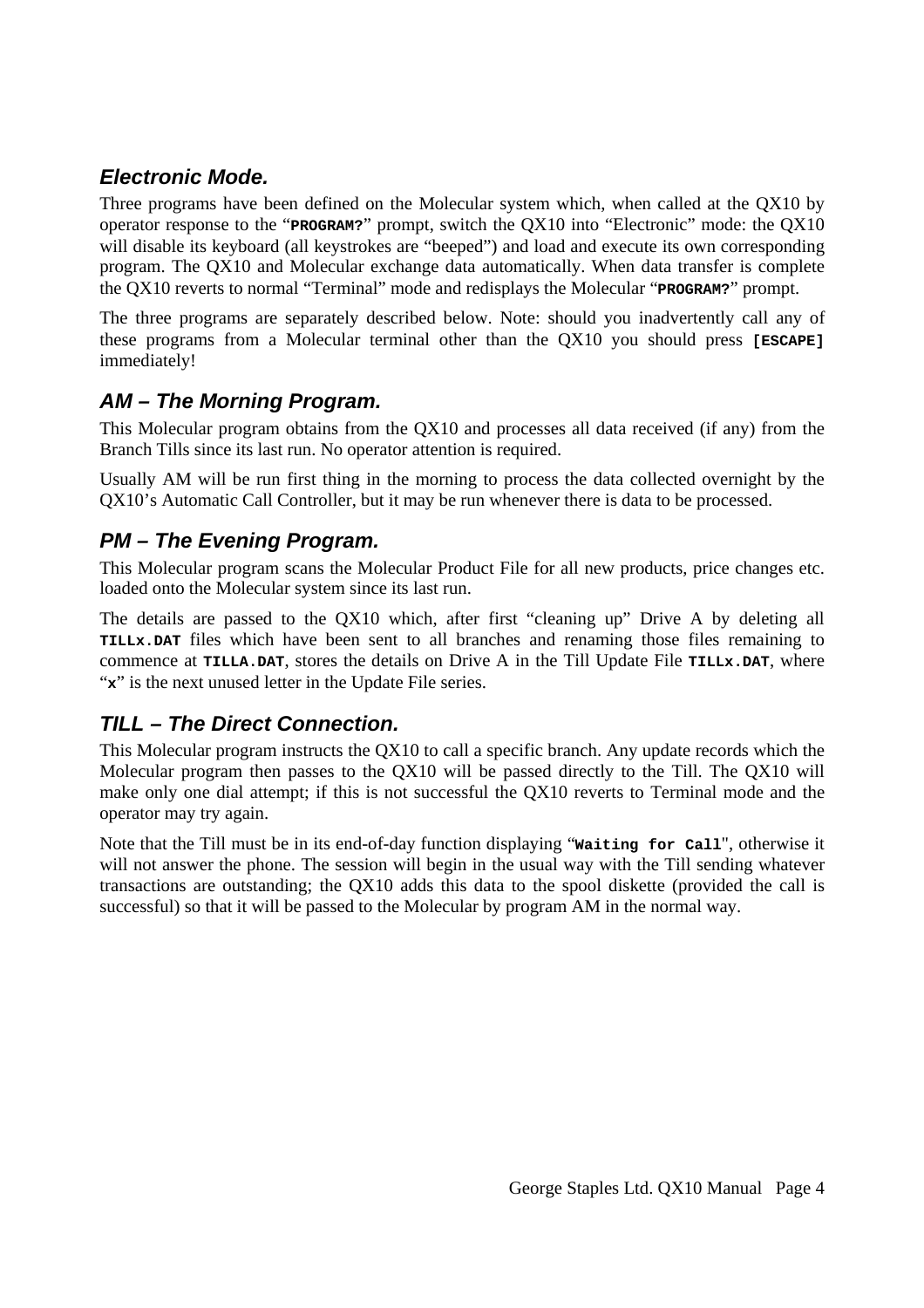## *Electronic Mode.*

Three programs have been defined on the Molecular system which, when called at the QX10 by operator response to the "**PROGRAM?**" prompt, switch the QX10 into "Electronic" mode: the QX10 will disable its keyboard (all keystrokes are "beeped") and load and execute its own corresponding program. The QX10 and Molecular exchange data automatically. When data transfer is complete the QX10 reverts to normal "Terminal" mode and redisplays the Molecular "**PROGRAM?**" prompt.

The three programs are separately described below. Note: should you inadvertently call any of these programs from a Molecular terminal other than the QX10 you should press **[ESCAPE]** immediately!

## *AM – The Morning Program.*

This Molecular program obtains from the QX10 and processes all data received (if any) from the Branch Tills since its last run. No operator attention is required.

Usually AM will be run first thing in the morning to process the data collected overnight by the QX10's Automatic Call Controller, but it may be run whenever there is data to be processed.

### *PM – The Evening Program.*

This Molecular program scans the Molecular Product File for all new products, price changes etc. loaded onto the Molecular system since its last run.

The details are passed to the QX10 which, after first "cleaning up" Drive A by deleting all **TILLx.DAT** files which have been sent to all branches and renaming those files remaining to commence at **TILLA.DAT**, stores the details on Drive A in the Till Update File **TILLx.DAT**, where "x" is the next unused letter in the Update File series.

### *TILL – The Direct Connection.*

This Molecular program instructs the QX10 to call a specific branch. Any update records which the Molecular program then passes to the QX10 will be passed directly to the Till. The QX10 will make only one dial attempt; if this is not successful the QX10 reverts to Terminal mode and the operator may try again.

Note that the Till must be in its end-of-day function displaying "**Waiting for Call**", otherwise it will not answer the phone. The session will begin in the usual way with the Till sending whatever transactions are outstanding; the QX10 adds this data to the spool diskette (provided the call is successful) so that it will be passed to the Molecular by program AM in the normal way.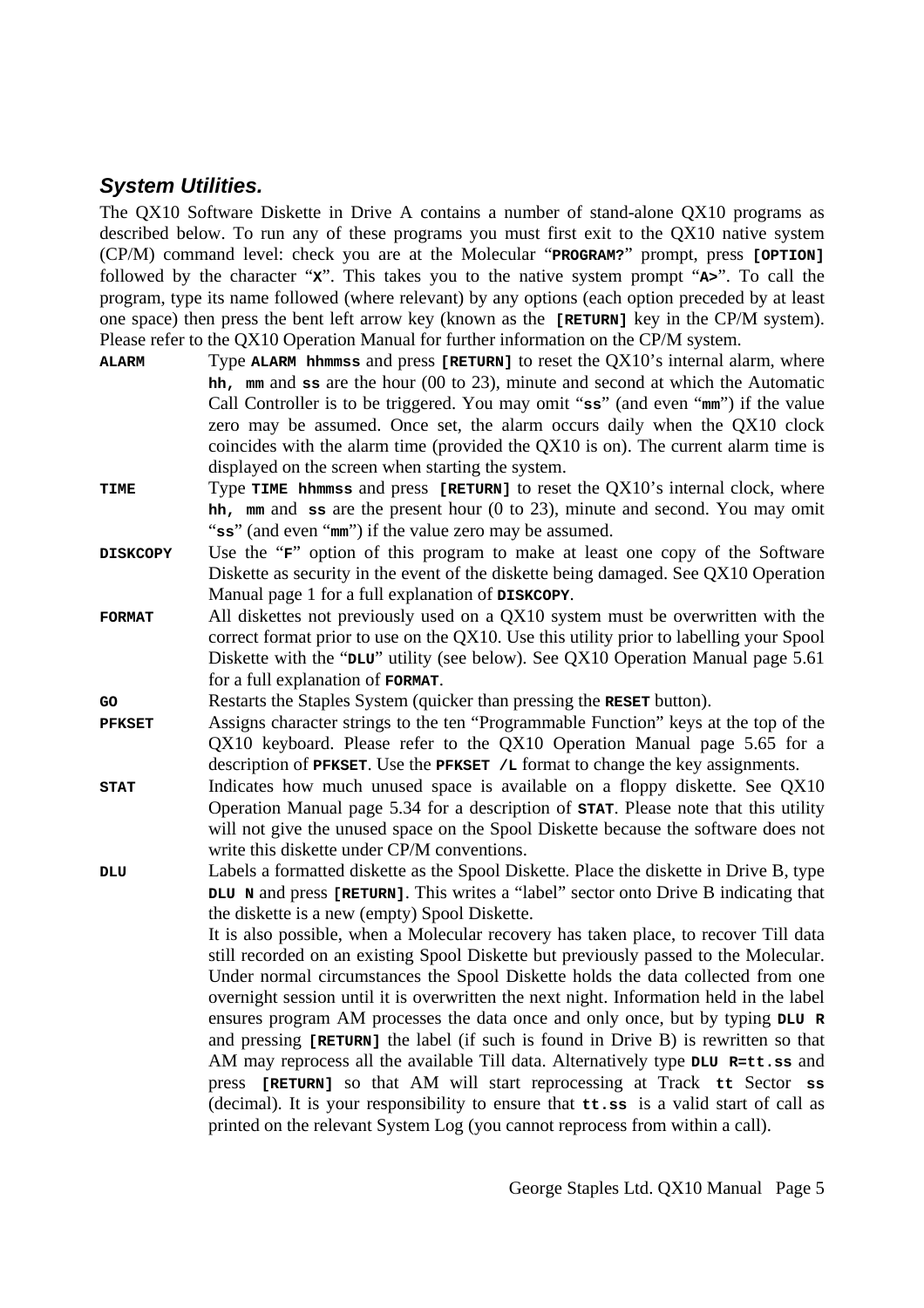#### *System Utilities.*

The QX10 Software Diskette in Drive A contains a number of stand-alone QX10 programs as described below. To run any of these programs you must first exit to the QX10 native system (CP/M) command level: check you are at the Molecular "**PROGRAM?**" prompt, press **[OPTION]** followed by the character "**X**". This takes you to the native system prompt "**A>**". To call the program, type its name followed (where relevant) by any options (each option preceded by at least one space) then press the bent left arrow key (known as the **[RETURN]** key in the CP/M system). Please refer to the QX10 Operation Manual for further information on the CP/M system.

- **ALARM** Type **ALARM hhmmss** and press **[RETURN]** to reset the QX10's internal alarm, where **hh, mm** and **ss** are the hour (00 to 23), minute and second at which the Automatic Call Controller is to be triggered. You may omit "**ss**" (and even "**mm**") if the value zero may be assumed. Once set, the alarm occurs daily when the QX10 clock coincides with the alarm time (provided the QX10 is on). The current alarm time is displayed on the screen when starting the system.
- **TIME** Type **TIME** hhmmss and press [RETURN] to reset the QX10's internal clock, where **hh, mm** and **ss** are the present hour (0 to 23), minute and second. You may omit "**ss**" (and even "**mm**") if the value zero may be assumed.
- **DISKCOPY** Use the "**F**" option of this program to make at least one copy of the Software Diskette as security in the event of the diskette being damaged. See QX10 Operation Manual page 1 for a full explanation of **DISKCOPY**.
- **FORMAT** All diskettes not previously used on a QX10 system must be overwritten with the correct format prior to use on the QX10. Use this utility prior to labelling your Spool Diskette with the "**DLU**" utility (see below). See QX10 Operation Manual page 5.61 for a full explanation of **FORMAT**.

**GO** Restarts the Staples System (quicker than pressing the **RESET** button).

- **PFKSET** Assigns character strings to the ten "Programmable Function" keys at the top of the QX10 keyboard. Please refer to the QX10 Operation Manual page 5.65 for a description of **PFKSET**. Use the **PFKSET /L** format to change the key assignments.
- **STAT** Indicates how much unused space is available on a floppy diskette. See QX10 Operation Manual page 5.34 for a description of **STAT**. Please note that this utility will not give the unused space on the Spool Diskette because the software does not write this diskette under CP/M conventions.
- **DLU** Labels a formatted diskette as the Spool Diskette. Place the diskette in Drive B, type **DLU N** and press **[RETURN]**. This writes a "label" sector onto Drive B indicating that the diskette is a new (empty) Spool Diskette.

 It is also possible, when a Molecular recovery has taken place, to recover Till data still recorded on an existing Spool Diskette but previously passed to the Molecular. Under normal circumstances the Spool Diskette holds the data collected from one overnight session until it is overwritten the next night. Information held in the label ensures program AM processes the data once and only once, but by typing **DLU R** and pressing **[RETURN]** the label (if such is found in Drive B) is rewritten so that AM may reprocess all the available Till data. Alternatively type **DLU R=tt.ss** and press **[RETURN]** so that AM will start reprocessing at Track **tt** Sector **ss** (decimal). It is your responsibility to ensure that **tt.ss** is a valid start of call as printed on the relevant System Log (you cannot reprocess from within a call).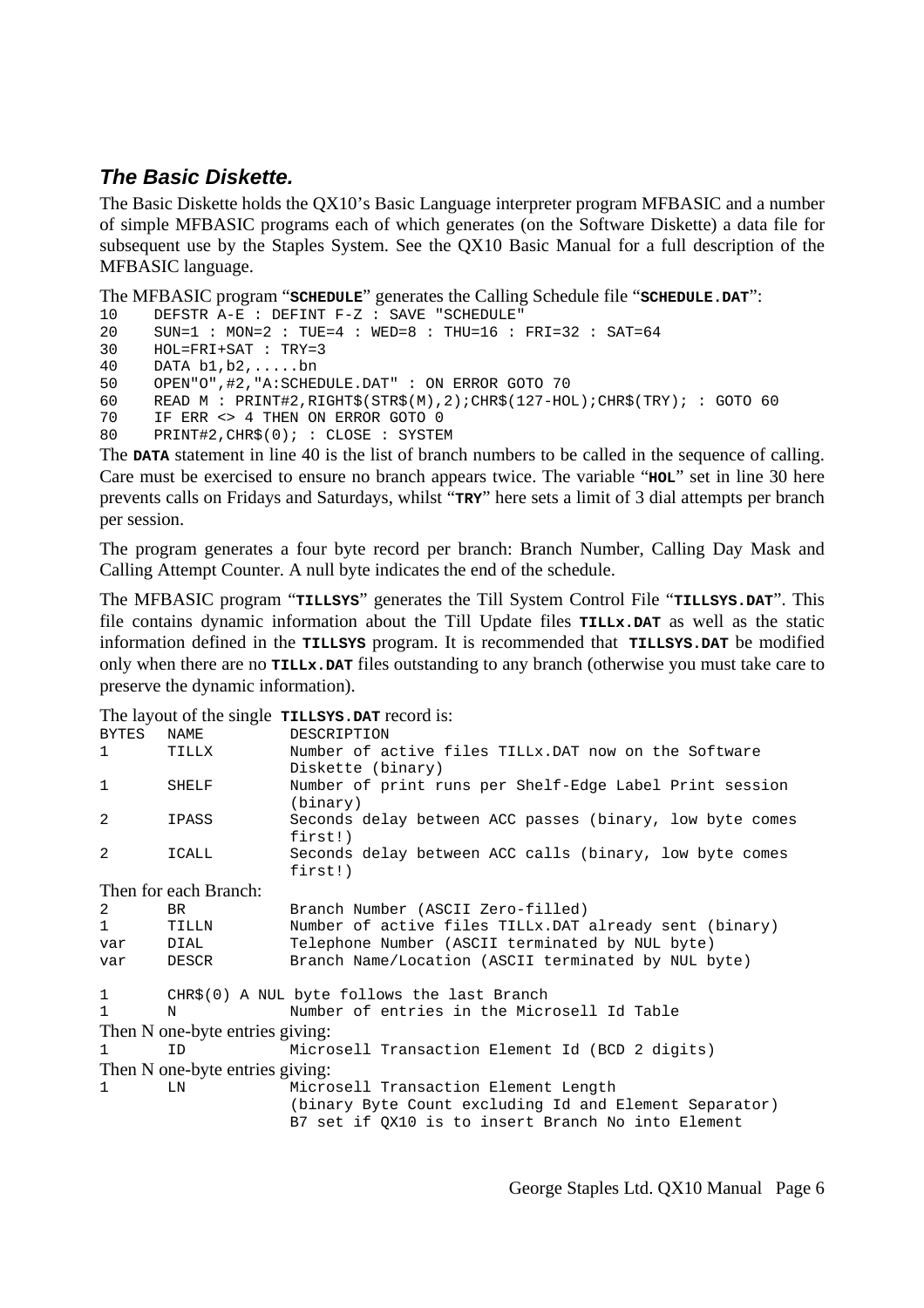### *The Basic Diskette.*

The Basic Diskette holds the QX10's Basic Language interpreter program MFBASIC and a number of simple MFBASIC programs each of which generates (on the Software Diskette) a data file for subsequent use by the Staples System. See the QX10 Basic Manual for a full description of the MFBASIC language.

The MFBASIC program "**SCHEDULE**" generates the Calling Schedule file "**SCHEDULE.DAT**":

```
10 DEFSTR \overline{A}-\overline{E} : DEFINT F-Z : SAVE "SCHEDULE"<br>20 SIN=1 : MON=2 : THE=4 : WED=8 : THH=16 :
        SUN=1 : MON=2 : TUE=4 : WED=8 : THU=16 : FRI=32 : SAT=6430 HOL=FRI+SAT : TRY=3 
40 DATA b1, b2, \ldots, bn<br>50 OPEN"O" \#2 "A:SCHE
        50 OPEN"O",#2,"A:SCHEDULE.DAT" : ON ERROR GOTO 70 
60 READ M : PRINT#2, RIGHT$(STR$(M), 2); CHR$(127-HOL); CHR$(TRY); : GOTO 60
70 IF ERR <> 4 THEN ON ERROR GOTO 0<br>80 PRINT#2, CHR$(0); : CLOSE : SYSTE
        PRINT#2, CHR$(0); : CLOSE : SYSTEM
```
The **DATA** statement in line 40 is the list of branch numbers to be called in the sequence of calling. Care must be exercised to ensure no branch appears twice. The variable "**HOL**" set in line 30 here prevents calls on Fridays and Saturdays, whilst "**TRY**" here sets a limit of 3 dial attempts per branch per session.

The program generates a four byte record per branch: Branch Number, Calling Day Mask and Calling Attempt Counter. A null byte indicates the end of the schedule.

The MFBASIC program "**TILLSYS**" generates the Till System Control File "**TILLSYS.DAT**". This file contains dynamic information about the Till Update files **TILLx.DAT** as well as the static information defined in the **TILLSYS** program. It is recommended that **TILLSYS.DAT** be modified only when there are no **TILLx.DAT** files outstanding to any branch (otherwise you must take care to preserve the dynamic information).

The layout of the single **TILLSYS.DAT** record is:

| <b>BYTES</b>                    | NAME                                        | DESCRIPTION                                              |
|---------------------------------|---------------------------------------------|----------------------------------------------------------|
| $\mathbf{1}$                    | TILLX                                       | Number of active files TILLx. DAT now on the Software    |
|                                 |                                             | Diskette (binary)                                        |
| $\mathbf 1$                     | SHELF                                       | Number of print runs per Shelf-Edge Label Print session  |
|                                 |                                             | (binary)                                                 |
| 2                               | IPASS                                       | Seconds delay between ACC passes (binary, low byte comes |
|                                 |                                             | first!)                                                  |
| 2                               | ICALL                                       | Seconds delay between ACC calls (binary, low byte comes  |
|                                 |                                             | first!)                                                  |
| Then for each Branch:           |                                             |                                                          |
| 2                               | BR.                                         | Branch Number (ASCII Zero-filled)                        |
| $\mathbf{1}$                    | TILLN                                       | Number of active files TILLx. DAT already sent (binary)  |
| var                             | DIAL                                        | Telephone Number (ASCII terminated by NUL byte)          |
| var                             | DESCR                                       | Branch Name/Location (ASCII terminated by NUL byte)      |
| 1                               | CHR\$(0) A NUL byte follows the last Branch |                                                          |
| $\mathbf{1}$                    | N                                           | Number of entries in the Microsell Id Table              |
| Then N one-byte entries giving: |                                             |                                                          |
| $\mathbf{1}$                    | ID                                          | Microsell Transaction Element Id (BCD 2 digits)          |
|                                 | Then N one-byte entries giving:             |                                                          |
| $\mathbf{1}$                    | LN                                          | Microsell Transaction Element Length                     |
|                                 |                                             | (binary Byte Count excluding Id and Element Separator)   |
|                                 |                                             | B7 set if QX10 is to insert Branch No into Element       |

George Staples Ltd. QX10 Manual Page 6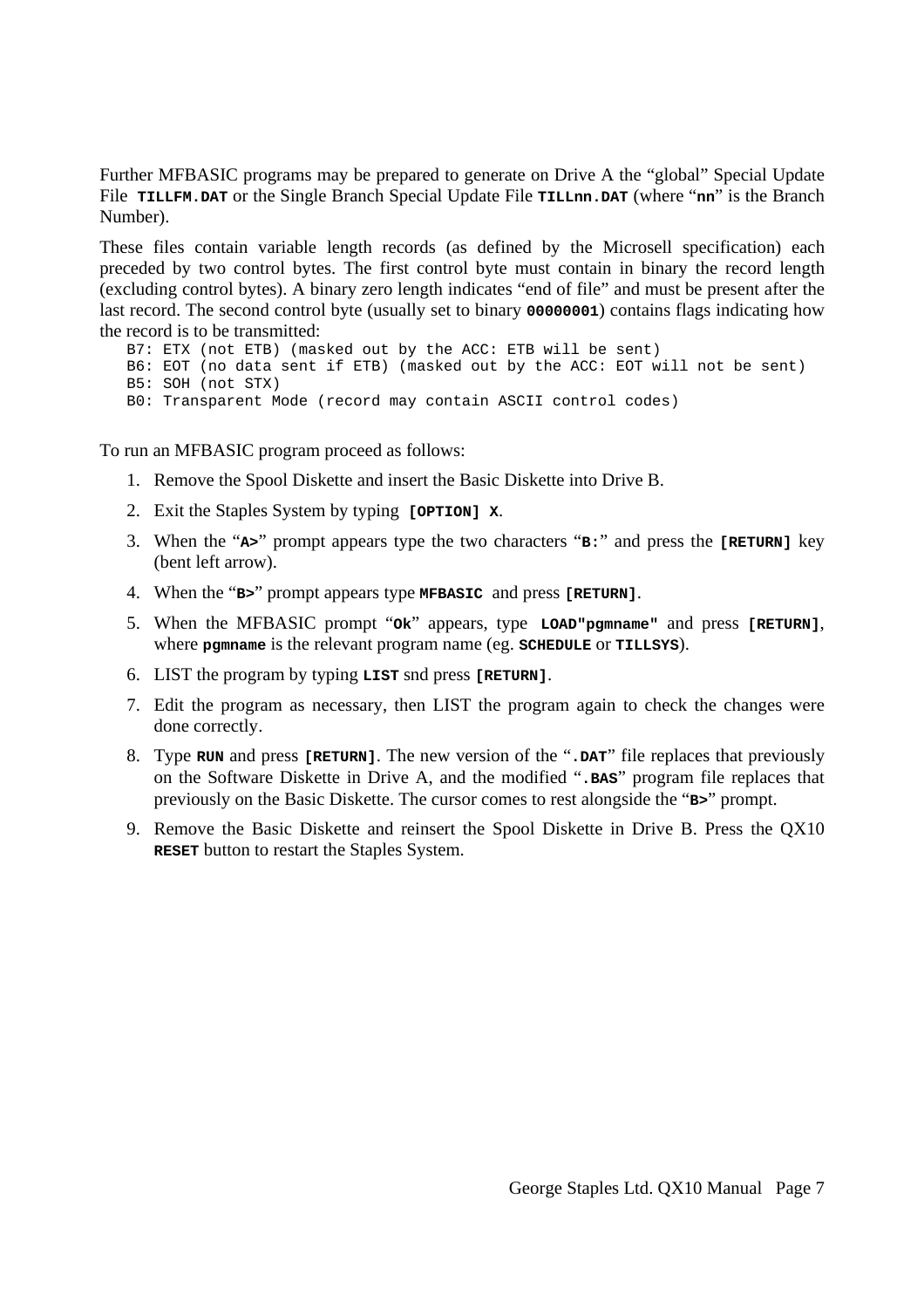Further MFBASIC programs may be prepared to generate on Drive A the "global" Special Update File **TILLFM.DAT** or the Single Branch Special Update File **TILLnn.DAT** (where "**nn**" is the Branch Number).

These files contain variable length records (as defined by the Microsell specification) each preceded by two control bytes. The first control byte must contain in binary the record length (excluding control bytes). A binary zero length indicates "end of file" and must be present after the last record. The second control byte (usually set to binary **00000001**) contains flags indicating how the record is to be transmitted:

 B7: ETX (not ETB) (masked out by the ACC: ETB will be sent) B6: EOT (no data sent if ETB) (masked out by the ACC: EOT will not be sent) B5: SOH (not STX) B0: Transparent Mode (record may contain ASCII control codes)

To run an MFBASIC program proceed as follows:

- 1. Remove the Spool Diskette and insert the Basic Diskette into Drive B.
- 2. Exit the Staples System by typing **[OPTION] X**.
- 3. When the "**A>**" prompt appears type the two characters "**B:**" and press the **[RETURN]** key (bent left arrow).
- 4. When the "**B>**" prompt appears type **MFBASIC** and press **[RETURN]**.
- 5. When the MFBASIC prompt "**Ok**" appears, type **LOAD"pgmname"** and press **[RETURN]**, where **pgmname** is the relevant program name (eg. **SCHEDULE** or **TILLSYS**).
- 6. LIST the program by typing **LIST** snd press **[RETURN]**.
- 7. Edit the program as necessary, then LIST the program again to check the changes were done correctly.
- 8. Type **RUN** and press **[RETURN]**. The new version of the "**.DAT**" file replaces that previously on the Software Diskette in Drive A, and the modified "**.BAS**" program file replaces that previously on the Basic Diskette. The cursor comes to rest alongside the "**B>**" prompt.
- 9. Remove the Basic Diskette and reinsert the Spool Diskette in Drive B. Press the QX10 **RESET** button to restart the Staples System.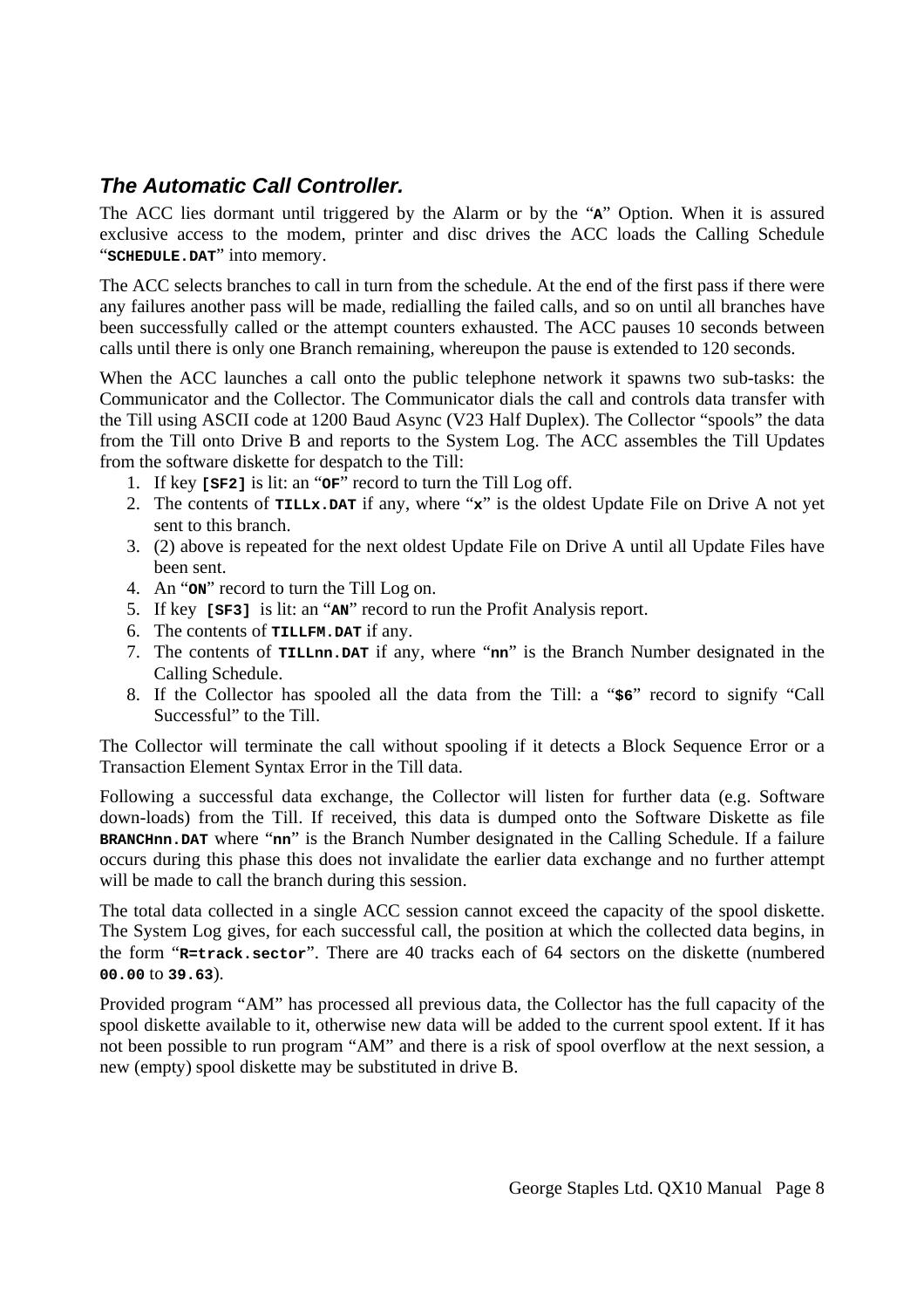## *The Automatic Call Controller.*

The ACC lies dormant until triggered by the Alarm or by the "**A**" Option. When it is assured exclusive access to the modem, printer and disc drives the ACC loads the Calling Schedule "**SCHEDULE.DAT**" into memory.

The ACC selects branches to call in turn from the schedule. At the end of the first pass if there were any failures another pass will be made, redialling the failed calls, and so on until all branches have been successfully called or the attempt counters exhausted. The ACC pauses 10 seconds between calls until there is only one Branch remaining, whereupon the pause is extended to 120 seconds.

When the ACC launches a call onto the public telephone network it spawns two sub-tasks: the Communicator and the Collector. The Communicator dials the call and controls data transfer with the Till using ASCII code at 1200 Baud Async (V23 Half Duplex). The Collector "spools" the data from the Till onto Drive B and reports to the System Log. The ACC assembles the Till Updates from the software diskette for despatch to the Till:

- 1. If key **[SF2]** is lit: an "**OF**" record to turn the Till Log off.
- 2. The contents of **TILLx.DAT** if any, where "**x**" is the oldest Update File on Drive A not yet sent to this branch.
- 3. (2) above is repeated for the next oldest Update File on Drive A until all Update Files have been sent.
- 4. An "**ON**" record to turn the Till Log on.
- 5. If key **[SF3]** is lit: an "**AN**" record to run the Profit Analysis report.
- 6. The contents of **TILLFM.DAT** if any.
- 7. The contents of **TILLnn.DAT** if any, where "**nn**" is the Branch Number designated in the Calling Schedule.
- 8. If the Collector has spooled all the data from the Till: a "**\$6**" record to signify "Call Successful" to the Till.

The Collector will terminate the call without spooling if it detects a Block Sequence Error or a Transaction Element Syntax Error in the Till data.

Following a successful data exchange, the Collector will listen for further data (e.g. Software down-loads) from the Till. If received, this data is dumped onto the Software Diskette as file **BRANCHnn.DAT** where "**nn**" is the Branch Number designated in the Calling Schedule. If a failure occurs during this phase this does not invalidate the earlier data exchange and no further attempt will be made to call the branch during this session.

The total data collected in a single ACC session cannot exceed the capacity of the spool diskette. The System Log gives, for each successful call, the position at which the collected data begins, in the form "**R=track.sector**". There are 40 tracks each of 64 sectors on the diskette (numbered **00.00** to **39.63**).

Provided program "AM" has processed all previous data, the Collector has the full capacity of the spool diskette available to it, otherwise new data will be added to the current spool extent. If it has not been possible to run program "AM" and there is a risk of spool overflow at the next session, a new (empty) spool diskette may be substituted in drive B.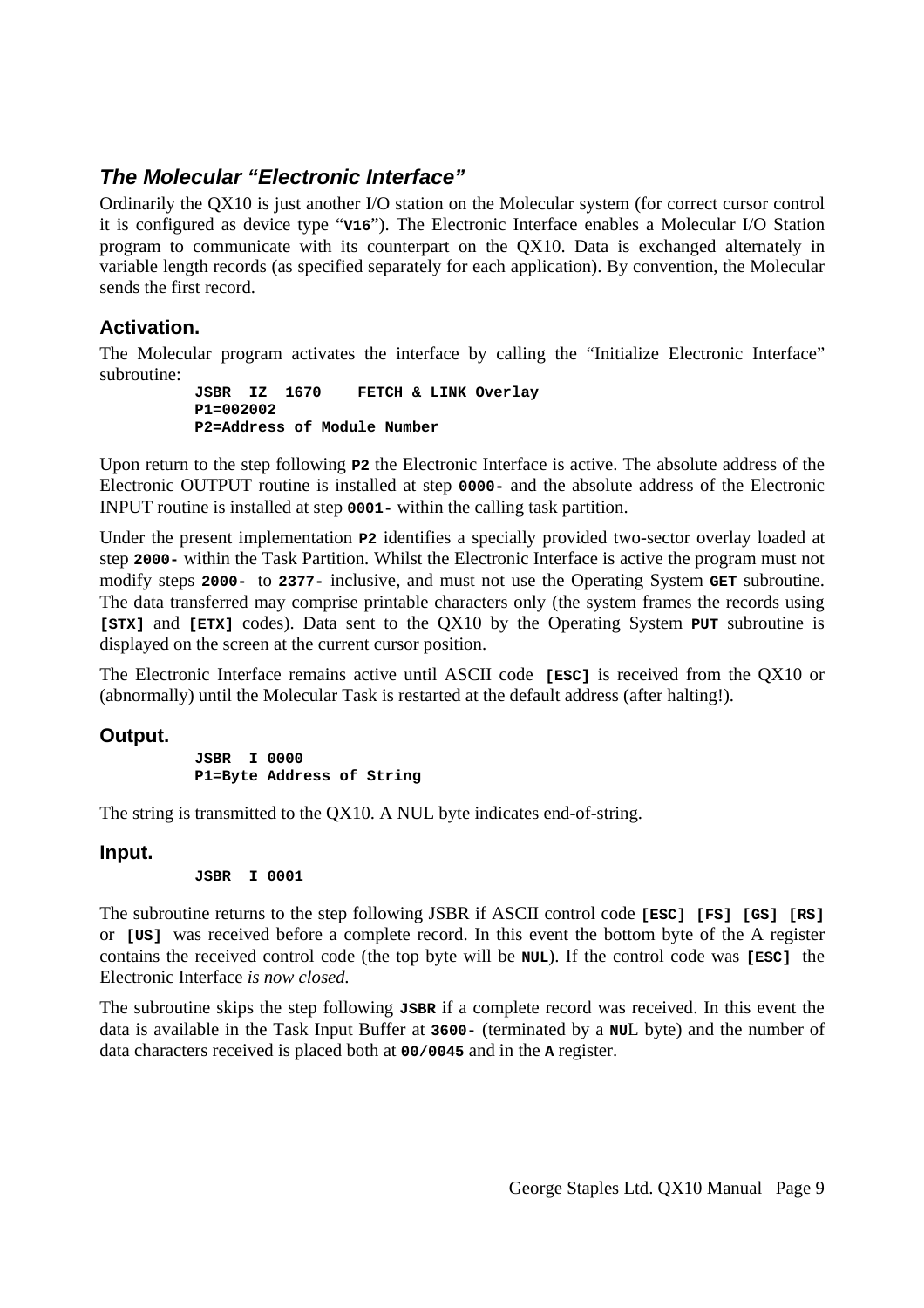## *The Molecular "Electronic Interface"*

Ordinarily the QX10 is just another I/O station on the Molecular system (for correct cursor control it is configured as device type "**V16**"). The Electronic Interface enables a Molecular I/O Station program to communicate with its counterpart on the QX10. Data is exchanged alternately in variable length records (as specified separately for each application). By convention, the Molecular sends the first record.

#### **Activation.**

The Molecular program activates the interface by calling the "Initialize Electronic Interface" subroutine:

```
 JSBR IZ 1670 FETCH & LINK Overlay 
 P1=002002 
 P2=Address of Module Number
```
Upon return to the step following **P2** the Electronic Interface is active. The absolute address of the Electronic OUTPUT routine is installed at step **0000-** and the absolute address of the Electronic INPUT routine is installed at step **0001-** within the calling task partition.

Under the present implementation **P2** identifies a specially provided two-sector overlay loaded at step **2000-** within the Task Partition. Whilst the Electronic Interface is active the program must not modify steps **2000-** to **2377-** inclusive, and must not use the Operating System **GET** subroutine. The data transferred may comprise printable characters only (the system frames the records using **[STX]** and **[ETX]** codes). Data sent to the QX10 by the Operating System **PUT** subroutine is displayed on the screen at the current cursor position.

The Electronic Interface remains active until ASCII code **[ESC]** is received from the QX10 or (abnormally) until the Molecular Task is restarted at the default address (after halting!).

#### **Output.**

 **JSBR I 0000 P1=Byte Address of String** 

The string is transmitted to the QX10. A NUL byte indicates end-of-string.

#### **Input.**

```
 JSBR I 0001
```
The subroutine returns to the step following JSBR if ASCII control code **[ESC] [FS] [GS] [RS]** or **[US]** was received before a complete record. In this event the bottom byte of the A register contains the received control code (the top byte will be **NUL**). If the control code was **[ESC]** the Electronic Interface *is now closed.*

The subroutine skips the step following **JSBR** if a complete record was received. In this event the data is available in the Task Input Buffer at **3600-** (terminated by a **NU**L byte) and the number of data characters received is placed both at **00/0045** and in the **A** register.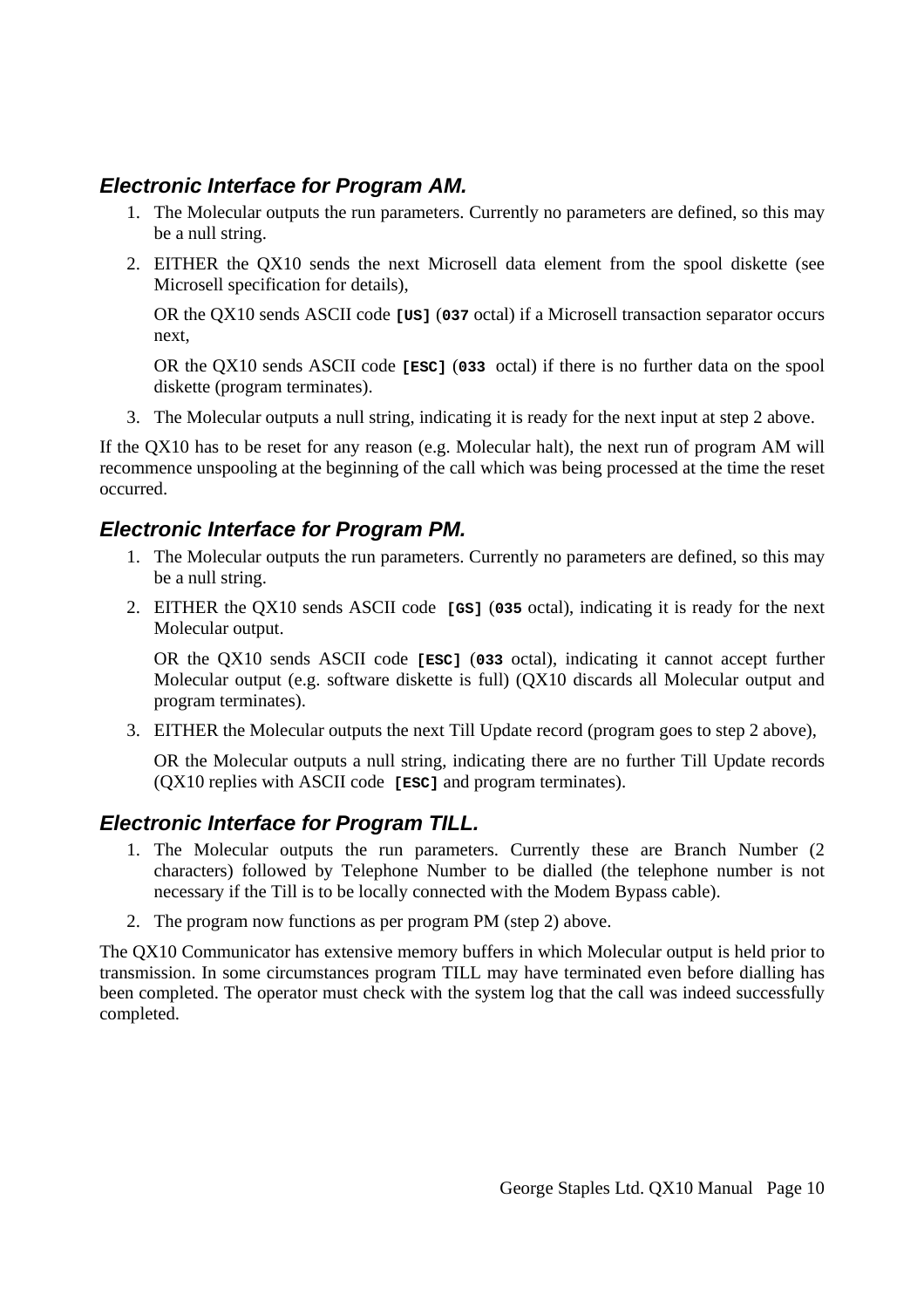#### *Electronic Interface for Program AM.*

- 1. The Molecular outputs the run parameters. Currently no parameters are defined, so this may be a null string.
- 2. EITHER the QX10 sends the next Microsell data element from the spool diskette (see Microsell specification for details),

OR the QX10 sends ASCII code **[US]** (**037** octal) if a Microsell transaction separator occurs next,

OR the QX10 sends ASCII code **[ESC]** (**033** octal) if there is no further data on the spool diskette (program terminates).

3. The Molecular outputs a null string, indicating it is ready for the next input at step 2 above.

If the QX10 has to be reset for any reason (e.g. Molecular halt), the next run of program AM will recommence unspooling at the beginning of the call which was being processed at the time the reset occurred.

#### *Electronic Interface for Program PM.*

- 1. The Molecular outputs the run parameters. Currently no parameters are defined, so this may be a null string.
- 2. EITHER the QX10 sends ASCII code **[GS]** (**035** octal), indicating it is ready for the next Molecular output.

OR the QX10 sends ASCII code **[ESC]** (**033** octal), indicating it cannot accept further Molecular output (e.g. software diskette is full) (QX10 discards all Molecular output and program terminates).

3. EITHER the Molecular outputs the next Till Update record (program goes to step 2 above),

OR the Molecular outputs a null string, indicating there are no further Till Update records (QX10 replies with ASCII code **[ESC]** and program terminates).

#### *Electronic Interface for Program TILL.*

- 1. The Molecular outputs the run parameters. Currently these are Branch Number (2 characters) followed by Telephone Number to be dialled (the telephone number is not necessary if the Till is to be locally connected with the Modem Bypass cable).
- 2. The program now functions as per program PM (step 2) above.

The QX10 Communicator has extensive memory buffers in which Molecular output is held prior to transmission. In some circumstances program TILL may have terminated even before dialling has been completed. The operator must check with the system log that the call was indeed successfully completed.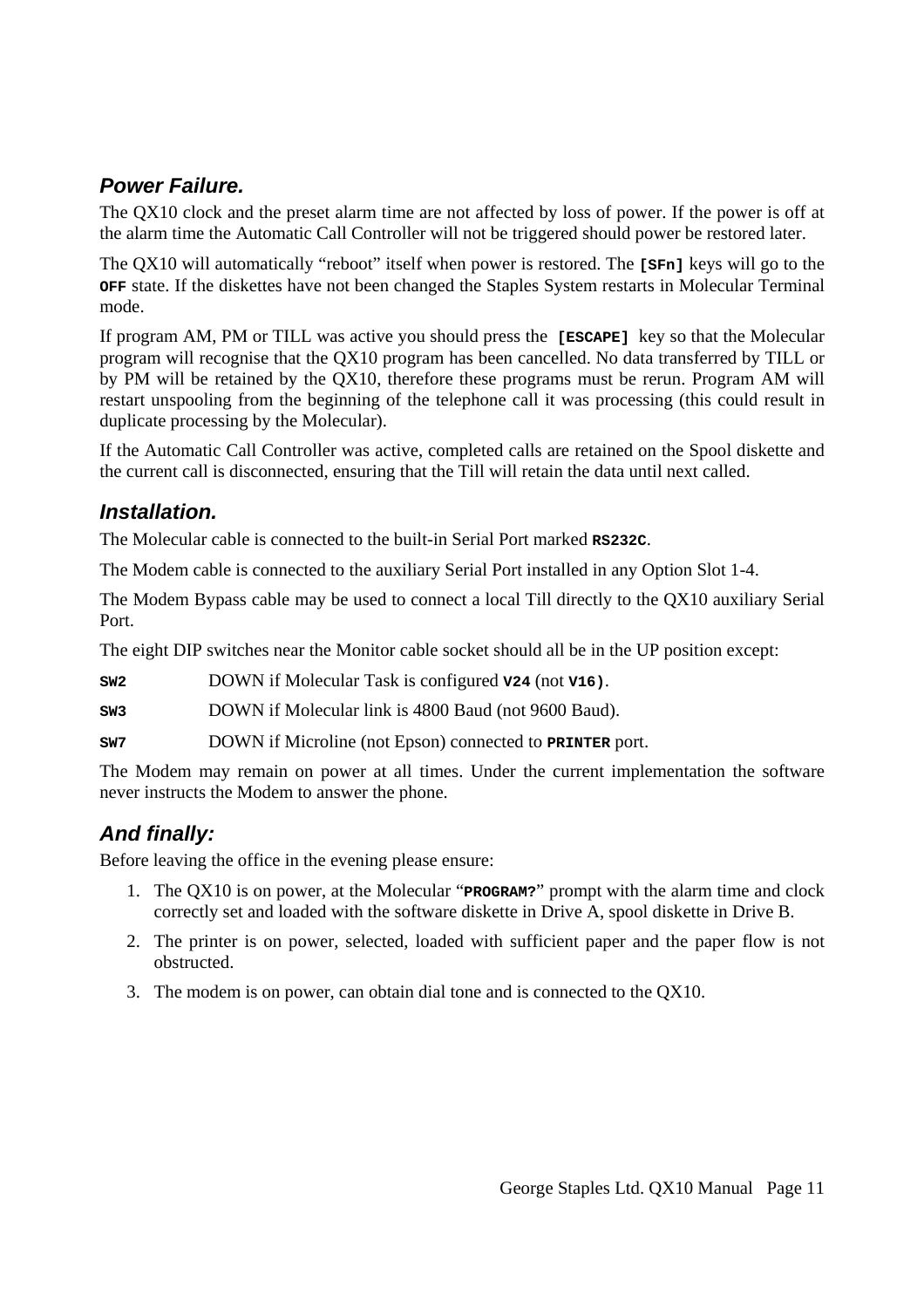## *Power Failure.*

The QX10 clock and the preset alarm time are not affected by loss of power. If the power is off at the alarm time the Automatic Call Controller will not be triggered should power be restored later.

The QX10 will automatically "reboot" itself when power is restored. The **[SFn]** keys will go to the **OFF** state. If the diskettes have not been changed the Staples System restarts in Molecular Terminal mode.

If program AM, PM or TILL was active you should press the **[ESCAPE]** key so that the Molecular program will recognise that the QX10 program has been cancelled. No data transferred by TILL or by PM will be retained by the QX10, therefore these programs must be rerun. Program AM will restart unspooling from the beginning of the telephone call it was processing (this could result in duplicate processing by the Molecular).

If the Automatic Call Controller was active, completed calls are retained on the Spool diskette and the current call is disconnected, ensuring that the Till will retain the data until next called.

### *Installation.*

The Molecular cable is connected to the built-in Serial Port marked **RS232C**.

The Modem cable is connected to the auxiliary Serial Port installed in any Option Slot 1-4.

The Modem Bypass cable may be used to connect a local Till directly to the QX10 auxiliary Serial Port.

The eight DIP switches near the Monitor cable socket should all be in the UP position except:

**SW2** DOWN if Molecular Task is configured **V24** (not **V16)**.

**SW3** DOWN if Molecular link is 4800 Baud (not 9600 Baud).

**SW7** DOWN if Microline (not Epson) connected to **PRINTER** port.

The Modem may remain on power at all times. Under the current implementation the software never instructs the Modem to answer the phone.

## *And finally:*

Before leaving the office in the evening please ensure:

- 1. The QX10 is on power, at the Molecular "**PROGRAM?**" prompt with the alarm time and clock correctly set and loaded with the software diskette in Drive A, spool diskette in Drive B.
- 2. The printer is on power, selected, loaded with sufficient paper and the paper flow is not obstructed.
- 3. The modem is on power, can obtain dial tone and is connected to the QX10.